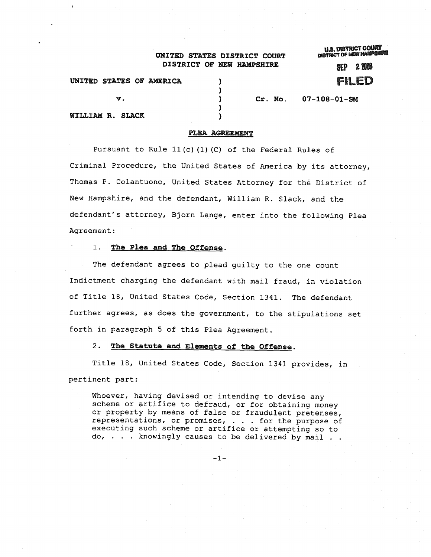## UNITED STATES DISTRICT COURT DISTRICT OF NEW HAMPSHIRE

**U.S. DISTRICT COURT**<br>DISTRICT OF NEW HAMPSHIP

 $SEP$   $2.000$ FiLED

v. ) ) ) ) ) UNITED STATES OF AMERICA WILLIAM R. SLACK

Cr. No. 07-108-01-SM

## PLEA AGREEMENT

Pursuant to Rule 11(c) (1) (C) of the Federal Rules of Criminal Procedure, the United States of America by its attorney, Thomas P. Colantuono, United States Attorney for the District of New Hampshire, and the defendant, William R. Slack, and the defendant's attorney, Bjorn Lange, enter into the following Plea Agreement:

#### 1. The Plea and The Offense.

The defendant agrees to plead guilty to the one count Indictment charging the defendant with mail fraud, in violation of Title 18, United States Code, Section 1341. The defendant further agrees, as does the government, to the stipulations set forth in paragraph 5 of this Plea Agreement.

# 2. The Statute and Elements of the Offense.

Title 18, United States Code, Section 1341 provides, in pertinent part:

Whoever, having devised or intending to devise any scheme or artifice to defraud, or for obtaining money or property by means of false or fraudulent pretenses, representations, or promises, . . . for the purpose of executing such scheme or artifice or attempting so to do, . . . knowingly causes to be delivered by mail . .

 $-1-$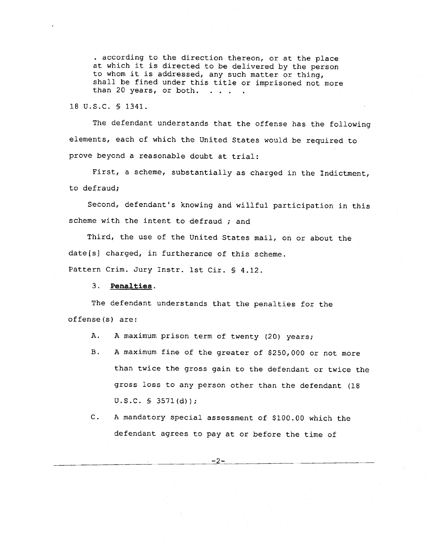· according to the direction thereon, or at the place at which it is directed to be delivered by the person to whom it is addressed, any such matter or thing, shall be fined under this title or imprisoned not more than 20 years, or both.  $\mathbf{r}$   $\mathbf{r}$ 

18 U.S.C. § 1341.

The defendant understands that the offense has the following elements, each of which the United States would be required to prove beyond a reasonable doubt at trial:

First, a scheme, substantially as charged in the Indictment, to defraud;

Second, defendant's knowing and willful participation in this scheme with the intent to defraud *i* and

Third, the use of the United States mail, on or about the  $date[s]$  charged, in furtherance of this scheme.

Pattern Crim. Jury Instr. 1st Cir. § 4.12.

### 3. Penalties.

The defendant understands that the penalties for the offense(s) are:

A. A maximum prison term of twenty (20) years;

- B. A maximum fine of the greater of \$250,000 or not more than twice the gross gain to the defendant or twice the gross loss to any person other than the defendant (18 U.S.C. § *3571(d)}i*
- C. A mandatory special assessment of \$100.00 which the defendant agrees to pay at or before the time of

 $-2-$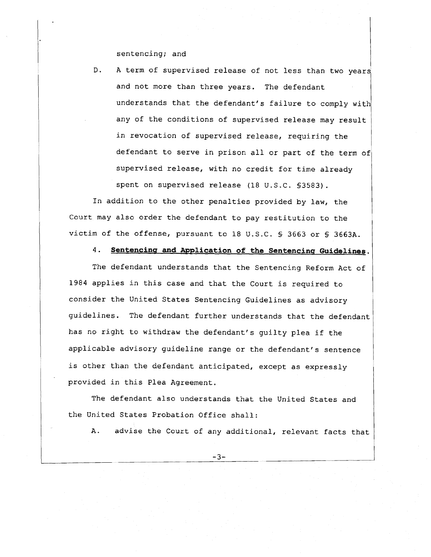sentencing; and

D. A term of supervised release of not less than two years and not more than three years. The defendant understands that the defendant's failure to comply with any of the conditions of supervised release may result in revocation of supervised release, requiring the defendant to serve in prison all or part of the term of supervised release, with no credit for time already spent on supervised release (18 U.S.C. §3583).

In addition to the other penalties provided by law, the Court may also order the defendant to pay restitution to the victim of the offense, pursuant to 18 U.S.C. § 3663 or § 3663A.

4. Sentencing and Application **of** the Sentencing Guidelines.

The defendant understands that the Sentencing Reform Act of 1984 applies in this case and that the Court is required to consider the United States Sentencing Guidelines as advisory guidelines. The defendant further understands that the defendant has no right to withdraw the defendant's guilty plea if the applicable advisory guideline range or the defendant's sentence is other than the defendant anticipated, except as expressly provided in this Plea Agreement.

The defendant also understands that the United States and the United States Probation Office shall:

A. advise the Court of any additional, relevant facts that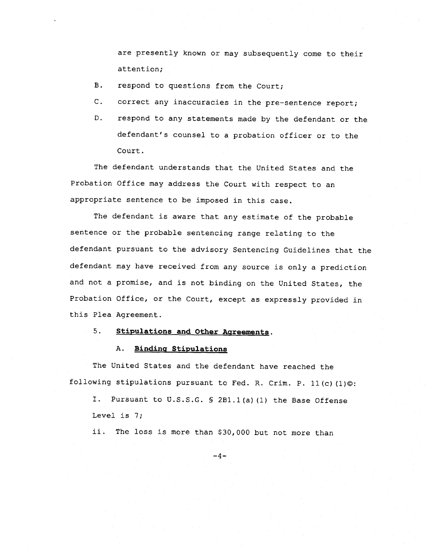are presently known or may subsequently come to their attention;

- B. respond to questions from the Court;
- C. correct any inaccuracies in the pre-sentence report;
- D. respond to any statements made by the defendant or the defendant's counsel to a probation officer or to the Court.

The defendant understands that the United States and the Probation Office may address the Court with respect to an appropriate sentence to be imposed in this case.

The defendant is aware that any estimate of the probable sentence or the probable sentencing range relating to the defendant pursuant to the advisory Sentencing Guidelines that the defendant may have received from any source is only a prediction and not a promise, and is not binding on the United States, the Probation Office, or the Court, except as expressly provided in this Plea Agreement.

5. StipUlations and Other Agreements.

### A. Binding Stipulations

The United States and the defendant have reached the following stipulations pursuant to Fed. R. Crim. P. 11(c) (1)©:

I. Pursuant to U.S.S.G. § 2B1.1(a) (1) the Base Offense Level is 7;

ii. The loss is more than \$30,000 but not more than

 $-4-$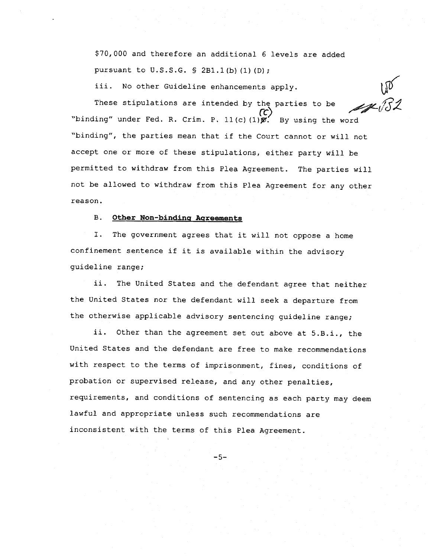\$70,000 and therefore an additional 6 levels are added pursuant to U.S.S.G. § 2B1.1(b)(1)(D);

*iii.* No other Guideline enhancements apply.

These stipulations are intended by the parties to be *rc)* "binding" under Fed. R. Crim. P. 11(c)(1) $\mathscr{B}.$  By using the word "binding", the parties mean that if the Court cannot or will not accept one or more of these stipulations, either party will be permitted to withdraw from this Plea Agreement. The parties will not be allowed to withdraw from this Plea Agreement for any other reason.

## B. Other Non-binding Agreements

I. The government agrees that it will not oppose a home confinement sentence if it *is* available within the advisory guideline range;

ii. The United States and the defendant agree that neither the United States nor the defendant will seek a departure from the otherwise applicable advisory sentencing guideline range;

ii. Other than the agreement set out above at S.B.i., the United States and the defendant are free to make recommendations with respect to the terms of imprisonment, fines, conditions of probation or supervised release, and any other penalties, requirements, and conditions of sentencing as each party may deem lawful and appropriate unless such recommendations are inconsistent with the terms of this Plea Agreement.

 $-5-$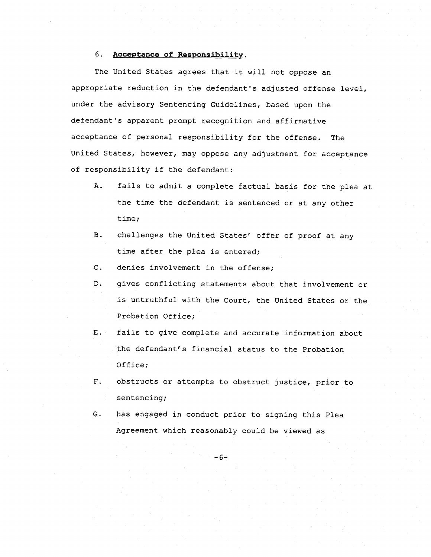# 6. Acceptance of Responsibility.

The United States agrees that it will not oppose an appropriate reduction in the defendant's adjusted offense level, under the advisory Sentencing Guidelines, based upon the defendant's apparent prompt recognition and affirmative acceptance of personal responsibility for the offense. The United States, however, may oppose any adjustment for acceptance of responsibility if the defendant:

- A. fails to admit a complete factual basis for the plea at the time the defendant is sentenced or at any other time;
- B. challenges the United States' offer of proof at any time after the plea is entered;
- C. denies involvement in the offense;
- D. gives conflicting statements about that involvement or is untruthful with the Court, the United States or the Probation Office;
- E. fails to give complete and accurate information about the defendant's financial status to the Probation Office;
- F. obstructs or attempts to obstruct justice, prior to sentencing;
- G. has engaged in conduct prior to signing this Plea Agreement which reasonably could be viewed as

-6-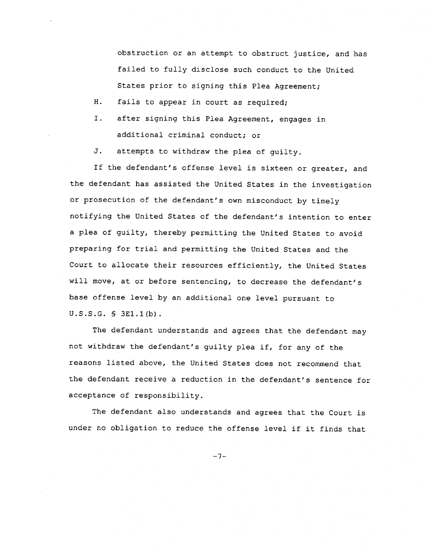obstruction or an attempt to obstruct justice, and has failed to fully disclose such conduct to the United States prior to signing this Plea Agreement;

H. fails to appear in court as required;

I. after signing this Plea Agreement, engages in additional criminal conduct; or

J. attempts to withdraw the plea of guilty.

If the defendant's offense level is sixteen or greater, and the defendant has assisted the United States in the investigation or prosecution of the defendant's own misconduct by timely notifying the United States of the defendant's intention to enter a plea of guilty, thereby permitting the United States to avoid preparing for trial and permitting the United States and the Court to allocate their resources efficiently, the United States will move, at or before sentencing, to decrease the defendant's base offense level by an additional one level pursuant to U.S.S.G. § 3El.l(b).

The defendant understands and agrees that the defendant may not withdraw the defendant's guilty plea if, for any of the reasons listed above, the United States does not recommend that the defendant receive a reduction in the defendant's sentence for acceptance of responsibility.

The defendant also understands and agrees that the Court is under no obligation to reduce the offense level if it finds that

-7-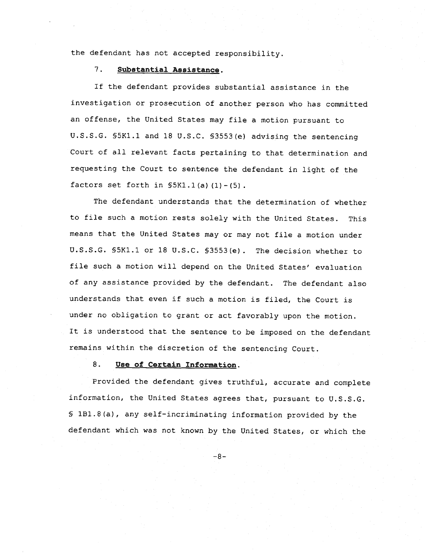the defendant has not accepted responsibility.

# 7. Substantial Assistance.

If the defendant provides substantial assistance in the investigation or prosecution of another person who has committed an offense, the United States may file a motion pursuant to U.S.S.G. §5Kl.l and 18 U.S.C. §3553(e) advising the sentencing court of all relevant facts pertaining to that determination and requesting the Court to sentence the defendant in light of the factors set forth in  $$5K1.1(a) (1) - (5)$ .

The defendant understands that the determination of whether to file such a motion rests solely with the United States. This means that the United States mayor may not file a motion under U.S.S.G. §5Kl.l or 18 U.S.C. §3553(e). The decision whether to file such a motion will depend on the United States' evaluation of any assistance provided by the defendant. The defendant also understands that even if such a motion is filed, the Court is under no obligation to grant or act favorably upon the motion. It is understood that the sentence to be imposed on the defendant remains within the discretion of the sentencing Court.

# 8. Use of Certain Information.

Provided the defendant gives truthful, accurate and complete information, the United States agrees that, pursuant to U.S.S.G. § IBl.8(a), any self-incriminating information provided by the defendant which was not known by the United States, or which the

-8-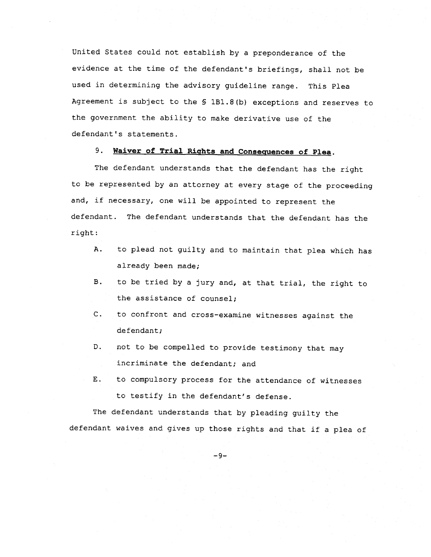United States could not establish by a preponderance of the evidence at the time of the defendant's briefings, shall not be used in determining the advisory guideline range. This Plea Agreement is subject to the § IBl.8(b) exceptions and reserves to the government the ability to make derivative use of the defendant's statements.

# 9. Waiver of Trial Rights and Consequences of Plea.

The defendant understands that the defendant has the right to be represented by an attorney at every stage of the proceeding and, if necessary, one will be appointed to represent the defendant. The defendant understands that the defendant has the right:

- A. to plead not guilty and to maintain that plea which has already been made;
- B. to be tried by a jury and, at that trial, the right to the assistance of counsel;
- c. to confront and cross-examine witnesses against the defendant;
- D. not to be compelled to provide testimony that may incriminate the defendant; and
- E. to compulsory process for the attendance of witnesses to testify *in* the defendant's defense.

The defendant understands that by pleading guilty the defendant waives and gives up those rights and that if a plea of

 $-9-$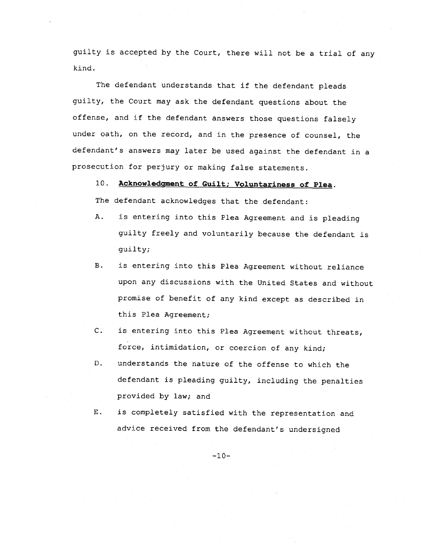guilty is accepted by the Court, there will not be a trial of any kind.

The defendant understands that if the defendant pleads guilty, the Court may ask the defendant questions about the offense, and if the defendant answers those questions falsely under oath, on the record, and in the presence of counsel, the defendant's answers may later be used against the defendant in a prosecution for perjury or making false statements.

10. Acknowledgment of Guilt; Voluntariness of Plea.

The defendant acknowledges that the defendant:

- A. is entering into this Plea Agreement and is pleading guilty freely and voluntarily because the defendant is guilty;
- B. is entering into this Plea Agreement without reliance upon any discussions with the United States and without promise of benefit of any kind except as described in this Plea Agreement;
- C. is entering into this Plea Agreement without threats, force, intimidation, or coercion of any kind;
- D. understands the nature of the offense to which the defendant is pleading guilty, including the penalties provided by law; and
- E. is completely satisfied with the representation and advice received from the defendant's undersigned

 $-10-$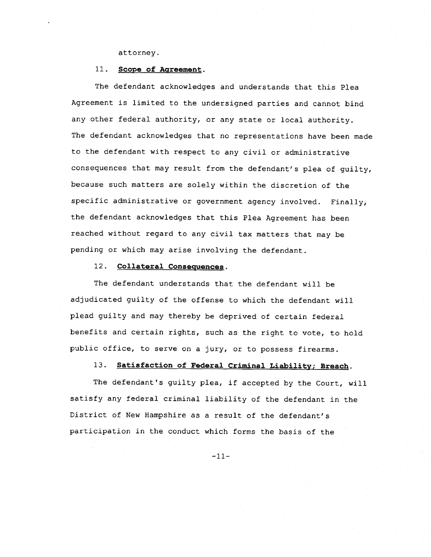### attorney.

# 11. **Scope** of Agreement.

The defendant acknowledges and understands that this Plea Agreement is limited to the undersigned parties and cannot bind any other federal authority, or any state or local authority. The defendant acknowledges that no representations have been made to the defendant with respect to any civil or administrative consequences that may result from the defendant's plea of guilty, because such matters are solely within the discretion of the specific administrative or government agency involved. Finally, the defendant acknowledges that this Plea Agreement has been reached without regard to any civil tax matters that may be pending or which may arise involving the defendant.

## 12. Collateral Consequences.

The defendant understands that the defendant will be adjudicated guilty of the offense to which the defendant will plead guilty and may thereby be deprived of certain federal benefits and certain rights, such as the right to vote, to hold public office, to serve on a jury, or to possess firearms.

## 13. Satisfaction of Federal Criminal Liability; Breach.

The defendant's guilty plea, if accepted by the Court, will satisfy any federal criminal liability of the defendant in the District of New Hampshire as a result of the defendant's participation in the conduct which forms the basis of the

-11-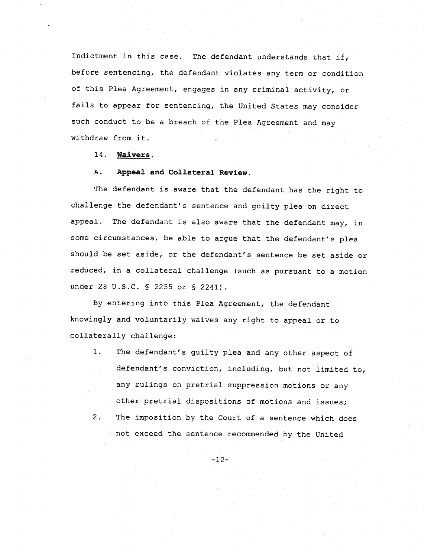Indictment in this case. The defendant understands that if, before sentencing, the defendant violates any term or condition of this Plea Agreement, engages in any criminal activity, or fails to appear for sentencing, the United States may consider such conduct to be a breach of the Plea Agreement and may withdraw from it.

14. Waivers.

## A. Appeal and Collateral Review.

The defendant is aware that the defendant has the right to challenge the defendant's sentence and guilty plea on direct appeal. The defendant is also aware that the defendant may, in some circumstances, be able to argue that the defendant's plea should be set aside, or the defendant's sentence be set aside or reduced, in a collateral challenge (such as pursuant to a motion under 28 U.S.C. § 2255 or § 2241).

By entering into this Plea Agreement, the defendant knowingly and voluntarily waives any right to appeal or to collaterally challenge:

- 1. The defendant's guilty plea and any other aspect of defendant's conviction, including, but not limited to, any rulings on pretrial suppression motions or any other pretrial dispositions of motions and issues; 2. The imposition by the Court of a sentence which does
	- not exceed the sentence recommended by the United

-12-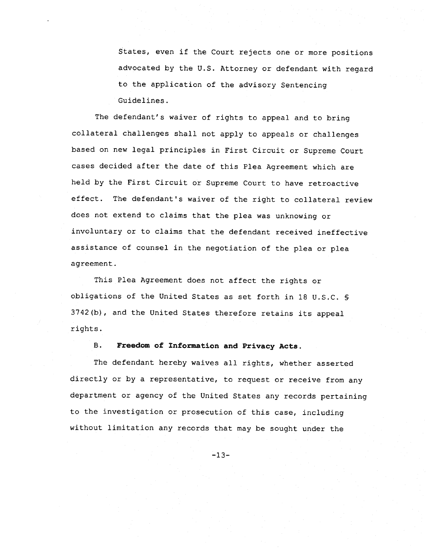States, even if the Court rejects one or more positions advocated by the U.S. Attorney or defendant with regard to the application of the advisory Sentencing Guidelines.

The defendant's waiver of rights to appeal and to bring collateral challenges shall not apply to appeals or challenges based on new legal principles in First Circuit or Supreme Court cases decided after the date of this Plea Agreement which are held by the First Circuit or Supreme Court to have retroactive effect. The defendant's waiver of the right to collateral review does not extend to claims that the plea was unknowing or involuntary or to claims that the defendant received ineffective assistance of counsel in the negotiation of the plea or plea agreement.

This Plea Agreement does not affect the rights or obligations of the United States as set forth in 18 U.S.C. § 3742(b), and the United States therefore retains its appeal rights.

# B. Freedom of Information and Privacy Acts.

The defendant hereby waives all rights, whether asserted directly or by a representative, to request or receive from any department or agency of the United States any records pertaining to the investigation or prosecution of this case, including without limitation any records that may be sought under the

 $-13-$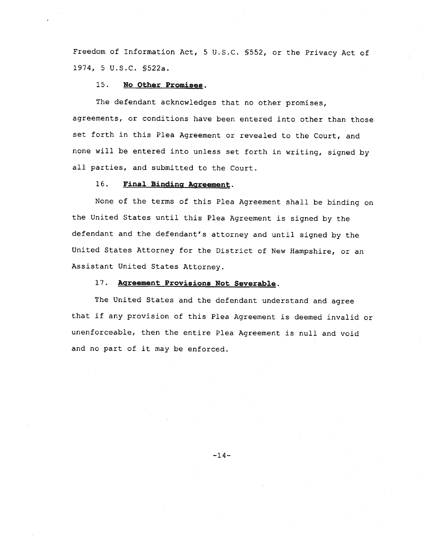Freedom of Information Act, 5 U.S.C. §552, or the Privacy Act of 1974, 5 U.S.C. §522a.

### 15 . **No Other Promises.**

The defendant acknowledges that no other promises, agreements, or conditions have been entered into other than those set forth in this Plea Agreement or revealed to the Court, and none will be entered into unless set forth in writing, signed by all parties, and submitted to the Court.

## 16. **Final Binding Agreement.**

None of the terms of this Plea Agreement shall be binding on the United States until this Plea Agreement is signed by the defendant and the defendant's attorney and until signed by the United States Attorney for the District of New Hampshire, or an Assistant United States Attorney.

# 17. **Agreement Provisions Not Severable.**

The United States and the defendant understand and agree that if any provision of this Plea Agreement is deemed invalid or unenforceable, then the entire Plea Agreement is null and void and no part of it may be enforced.

 $-14-$